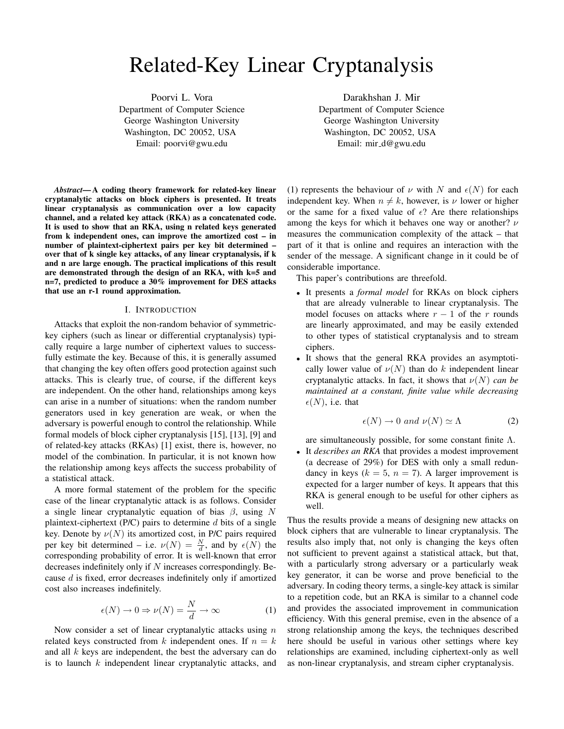# Related-Key Linear Cryptanalysis

Poorvi L. Vora Department of Computer Science George Washington University Washington, DC 20052, USA Email: poorvi@gwu.edu

Darakhshan J. Mir Department of Computer Science George Washington University Washington, DC 20052, USA Email: mir d@gwu.edu

*Abstract*— A coding theory framework for related-key linear cryptanalytic attacks on block ciphers is presented. It treats linear cryptanalysis as communication over a low capacity channel, and a related key attack (RKA) as a concatenated code. It is used to show that an RKA, using n related keys generated from k independent ones, can improve the amortized cost – in number of plaintext-ciphertext pairs per key bit determined – over that of k single key attacks, of any linear cryptanalysis, if k and n are large enough. The practical implications of this result are demonstrated through the design of an RKA, with k=5 and n=7, predicted to produce a 30% improvement for DES attacks that use an r-1 round approximation.

# I. INTRODUCTION

Attacks that exploit the non-random behavior of symmetrickey ciphers (such as linear or differential cryptanalysis) typically require a large number of ciphertext values to successfully estimate the key. Because of this, it is generally assumed that changing the key often offers good protection against such attacks. This is clearly true, of course, if the different keys are independent. On the other hand, relationships among keys can arise in a number of situations: when the random number generators used in key generation are weak, or when the adversary is powerful enough to control the relationship. While formal models of block cipher cryptanalysis [15], [13], [9] and of related-key attacks (RKAs) [1] exist, there is, however, no model of the combination. In particular, it is not known how the relationship among keys affects the success probability of a statistical attack.

A more formal statement of the problem for the specific case of the linear cryptanalytic attack is as follows. Consider a single linear cryptanalytic equation of bias  $\beta$ , using N plaintext-ciphertext ( $P/C$ ) pairs to determine d bits of a single key. Denote by  $\nu(N)$  its amortized cost, in P/C pairs required per key bit determined – i.e.  $\nu(N) = \frac{N}{d}$ , and by  $\epsilon(N)$  the corresponding probability of error. It is well-known that error decreases indefinitely only if  $N$  increases correspondingly. Because d is fixed, error decreases indefinitely only if amortized cost also increases indefinitely.

$$
\epsilon(N) \to 0 \Rightarrow \nu(N) = \frac{N}{d} \to \infty \tag{1}
$$

Now consider a set of linear cryptanalytic attacks using  $n$ related keys constructed from k independent ones. If  $n = k$ and all  $k$  keys are independent, the best the adversary can do is to launch  $k$  independent linear cryptanalytic attacks, and (1) represents the behaviour of  $\nu$  with N and  $\epsilon(N)$  for each independent key. When  $n \neq k$ , however, is  $\nu$  lower or higher or the same for a fixed value of  $\epsilon$ ? Are there relationships among the keys for which it behaves one way or another?  $\nu$ measures the communication complexity of the attack – that part of it that is online and requires an interaction with the sender of the message. A significant change in it could be of considerable importance.

This paper's contributions are threefold.

- It presents a *formal model* for RKAs on block ciphers that are already vulnerable to linear cryptanalysis. The model focuses on attacks where  $r - 1$  of the r rounds are linearly approximated, and may be easily extended to other types of statistical cryptanalysis and to stream ciphers.
- It shows that the general RKA provides an asymptotically lower value of  $\nu(N)$  than do k independent linear cryptanalytic attacks. In fact, it shows that  $\nu(N)$  *can be maintained at a constant, finite value while decreasing*  $\epsilon(N)$ , i.e. that

$$
\epsilon(N) \to 0 \text{ and } \nu(N) \simeq \Lambda \tag{2}
$$

are simultaneously possible, for some constant finite  $\Lambda$ .

• It *describes an RKA* that provides a modest improvement (a decrease of 29%) for DES with only a small redundancy in keys ( $k = 5$ ,  $n = 7$ ). A larger improvement is expected for a larger number of keys. It appears that this RKA is general enough to be useful for other ciphers as well.

Thus the results provide a means of designing new attacks on block ciphers that are vulnerable to linear cryptanalysis. The results also imply that, not only is changing the keys often not sufficient to prevent against a statistical attack, but that, with a particularly strong adversary or a particularly weak key generator, it can be worse and prove beneficial to the adversary. In coding theory terms, a single-key attack is similar to a repetition code, but an RKA is similar to a channel code and provides the associated improvement in communication efficiency. With this general premise, even in the absence of a strong relationship among the keys, the techniques described here should be useful in various other settings where key relationships are examined, including ciphertext-only as well as non-linear cryptanalysis, and stream cipher cryptanalysis.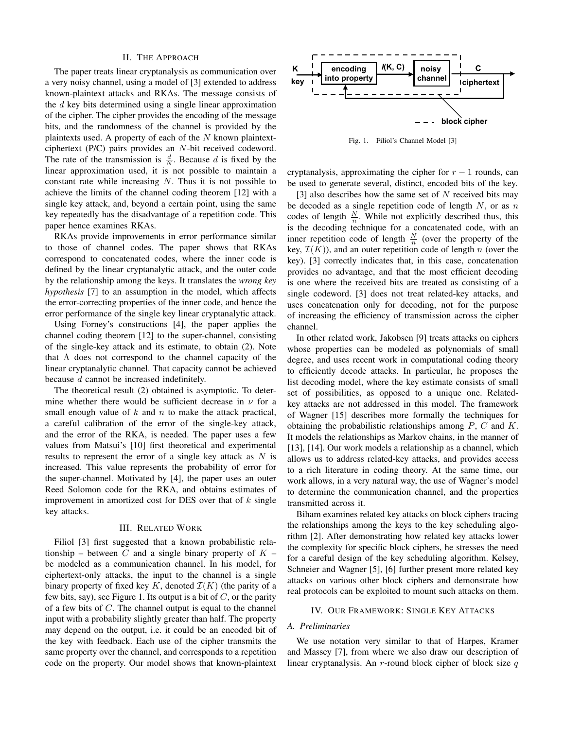## II. THE APPROACH

The paper treats linear cryptanalysis as communication over a very noisy channel, using a model of [3] extended to address known-plaintext attacks and RKAs. The message consists of the  $d$  key bits determined using a single linear approximation of the cipher. The cipher provides the encoding of the message bits, and the randomness of the channel is provided by the plaintexts used. A property of each of the  $N$  known plaintextciphertext (P/C) pairs provides an N-bit received codeword. The rate of the transmission is  $\frac{d}{N}$ . Because d is fixed by the linear approximation used, it is not possible to maintain a constant rate while increasing  $N$ . Thus it is not possible to achieve the limits of the channel coding theorem [12] with a single key attack, and, beyond a certain point, using the same key repeatedly has the disadvantage of a repetition code. This paper hence examines RKAs.

RKAs provide improvements in error performance similar to those of channel codes. The paper shows that RKAs correspond to concatenated codes, where the inner code is defined by the linear cryptanalytic attack, and the outer code by the relationship among the keys. It translates the *wrong key hypothesis* [7] to an assumption in the model, which affects the error-correcting properties of the inner code, and hence the error performance of the single key linear cryptanalytic attack.

Using Forney's constructions [4], the paper applies the channel coding theorem [12] to the super-channel, consisting of the single-key attack and its estimate, to obtain (2). Note that  $\Lambda$  does not correspond to the channel capacity of the linear cryptanalytic channel. That capacity cannot be achieved because d cannot be increased indefinitely.

The theoretical result (2) obtained is asymptotic. To determine whether there would be sufficient decrease in  $\nu$  for a small enough value of  $k$  and  $n$  to make the attack practical, a careful calibration of the error of the single-key attack, and the error of the RKA, is needed. The paper uses a few values from Matsui's [10] first theoretical and experimental results to represent the error of a single key attack as  $N$  is increased. This value represents the probability of error for the super-channel. Motivated by [4], the paper uses an outer Reed Solomon code for the RKA, and obtains estimates of improvement in amortized cost for DES over that of  $k$  single key attacks.

#### III. RELATED WORK

Filiol [3] first suggested that a known probabilistic relationship – between C and a single binary property of  $K$  – be modeled as a communication channel. In his model, for ciphertext-only attacks, the input to the channel is a single binary property of fixed key K, denoted  $\mathcal{I}(K)$  (the parity of a few bits, say), see Figure 1. Its output is a bit of  $C$ , or the parity of a few bits of  $C$ . The channel output is equal to the channel input with a probability slightly greater than half. The property may depend on the output, i.e. it could be an encoded bit of the key with feedback. Each use of the cipher transmits the same property over the channel, and corresponds to a repetition code on the property. Our model shows that known-plaintext



Fig. 1. Filiol's Channel Model [3]

cryptanalysis, approximating the cipher for  $r - 1$  rounds, can be used to generate several, distinct, encoded bits of the key.

[3] also describes how the same set of  $N$  received bits may be decoded as a single repetition code of length  $N$ , or as  $n$ codes of length  $\frac{N}{n}$ . While not explicitly described thus, this is the decoding technique for a concatenated code, with an inner repetition code of length  $\frac{N}{n}$  (over the property of the key,  $\mathcal{I}(K)$ ), and an outer repetition code of length n (over the key). [3] correctly indicates that, in this case, concatenation provides no advantage, and that the most efficient decoding is one where the received bits are treated as consisting of a single codeword. [3] does not treat related-key attacks, and uses concatenation only for decoding, not for the purpose of increasing the efficiency of transmission across the cipher channel.

In other related work, Jakobsen [9] treats attacks on ciphers whose properties can be modeled as polynomials of small degree, and uses recent work in computational coding theory to efficiently decode attacks. In particular, he proposes the list decoding model, where the key estimate consists of small set of possibilities, as opposed to a unique one. Relatedkey attacks are not addressed in this model. The framework of Wagner [15] describes more formally the techniques for obtaining the probabilistic relationships among P, C and K. It models the relationships as Markov chains, in the manner of [13], [14]. Our work models a relationship as a channel, which allows us to address related-key attacks, and provides access to a rich literature in coding theory. At the same time, our work allows, in a very natural way, the use of Wagner's model to determine the communication channel, and the properties transmitted across it.

Biham examines related key attacks on block ciphers tracing the relationships among the keys to the key scheduling algorithm [2]. After demonstrating how related key attacks lower the complexity for specific block ciphers, he stresses the need for a careful design of the key scheduling algorithm. Kelsey, Schneier and Wagner [5], [6] further present more related key attacks on various other block ciphers and demonstrate how real protocols can be exploited to mount such attacks on them.

#### IV. OUR FRAMEWORK: SINGLE KEY ATTACKS

## *A. Preliminaries*

We use notation very similar to that of Harpes, Kramer and Massey [7], from where we also draw our description of linear cryptanalysis. An  $r$ -round block cipher of block size  $q$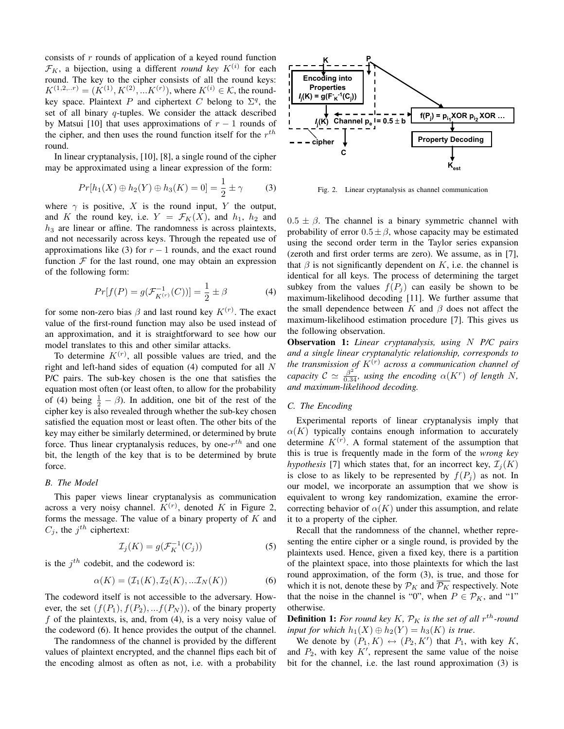consists of  $r$  rounds of application of a keyed round function  $\mathcal{F}_K$ , a bijection, using a different *round key*  $K^{(i)}$  for each round. The key to the cipher consists of all the round keys:  $K^{(1,2,..r)} = (K^{(1)}, K^{(2)},...K^{(r)})$ , where  $K^{(i)} \in \mathcal{K}$ , the roundkey space. Plaintext P and ciphertext C belong to  $\Sigma<sup>q</sup>$ , the set of all binary *q*-tuples. We consider the attack described by Matsui [10] that uses approximations of  $r - 1$  rounds of the cipher, and then uses the round function itself for the  $r^{th}$ round.

In linear cryptanalysis, [10], [8], a single round of the cipher may be approximated using a linear expression of the form:

$$
Pr[h_1(X) \oplus h_2(Y) \oplus h_3(K) = 0] = \frac{1}{2} \pm \gamma
$$
 (3)

where  $\gamma$  is positive, X is the round input, Y the output, and K the round key, i.e.  $Y = \mathcal{F}_K(X)$ , and  $h_1, h_2$  and  $h_3$  are linear or affine. The randomness is across plaintexts, and not necessarily across keys. Through the repeated use of approximations like (3) for  $r - 1$  rounds, and the exact round function  $F$  for the last round, one may obtain an expression of the following form:

$$
Pr[f(P) = g(\mathcal{F}_{K^{(r)}}^{-1}(C))] = \frac{1}{2} \pm \beta
$$
 (4)

for some non-zero bias  $\beta$  and last round key  $K^{(r)}$ . The exact value of the first-round function may also be used instead of an approximation, and it is straightforward to see how our model translates to this and other similar attacks.

To determine  $K^{(r)}$ , all possible values are tried, and the right and left-hand sides of equation  $(4)$  computed for all N P/C pairs. The sub-key chosen is the one that satisfies the equation most often (or least often, to allow for the probability of (4) being  $\frac{1}{2} - \beta$ ). In addition, one bit of the rest of the cipher key is also revealed through whether the sub-key chosen satisfied the equation most or least often. The other bits of the key may either be similarly determined, or determined by brute force. Thus linear cryptanalysis reduces, by one- $r^{th}$  and one bit, the length of the key that is to be determined by brute force.

# *B. The Model*

This paper views linear cryptanalysis as communication across a very noisy channel.  $K^{(r)}$ , denoted K in Figure 2, forms the message. The value of a binary property of  $K$  and  $C_j$ , the  $j^{th}$  ciphertext:

$$
\mathcal{I}_j(K) = g(\mathcal{F}_K^{-1}(C_j))\tag{5}
$$

is the  $j<sup>th</sup>$  codebit, and the codeword is:

$$
\alpha(K) = (\mathcal{I}_1(K), \mathcal{I}_2(K), \dots \mathcal{I}_N(K)) \tag{6}
$$

The codeword itself is not accessible to the adversary. However, the set  $(f(P_1), f(P_2), ... f(P_N))$ , of the binary property f of the plaintexts, is, and, from (4), is a very noisy value of the codeword (6). It hence provides the output of the channel.

The randomness of the channel is provided by the different values of plaintext encrypted, and the channel flips each bit of the encoding almost as often as not, i.e. with a probability



Fig. 2. Linear cryptanalysis as channel communication

 $0.5 \pm \beta$ . The channel is a binary symmetric channel with probability of error  $0.5 \pm \beta$ , whose capacity may be estimated using the second order term in the Taylor series expansion (zeroth and first order terms are zero). We assume, as in [7], that  $\beta$  is not significantly dependent on K, i.e. the channel is identical for all keys. The process of determining the target subkey from the values  $f(P_j)$  can easily be shown to be maximum-likelihood decoding [11]. We further assume that the small dependence between K and  $\beta$  does not affect the maximum-likelihood estimation procedure [7]. This gives us the following observation.

Observation 1: *Linear cryptanalysis, using* N *P/C pairs and a single linear cryptanalytic relationship, corresponds to the transmission of* K(r) *across a communication channel of capacity*  $C \simeq \frac{\beta^2}{0.34}$ *, using the encoding*  $\alpha(K^r)$  *of length* N, *and maximum-likelihood decoding.*

# *C. The Encoding*

Experimental reports of linear cryptanalysis imply that  $\alpha(K)$  typically contains enough information to accurately determine  $K^{(r)}$ . A formal statement of the assumption that this is true is frequently made in the form of the *wrong key hypothesis* [7] which states that, for an incorrect key,  $\mathcal{I}_i(K)$ is close to as likely to be represented by  $f(P_i)$  as not. In our model, we incorporate an assumption that we show is equivalent to wrong key randomization, examine the errorcorrecting behavior of  $\alpha(K)$  under this assumption, and relate it to a property of the cipher.

Recall that the randomness of the channel, whether representing the entire cipher or a single round, is provided by the plaintexts used. Hence, given a fixed key, there is a partition of the plaintext space, into those plaintexts for which the last round approximation, of the form (3), is true, and those for which it is not, denote these by  $\mathcal{P}_K$  and  $\mathcal{P}_K$  respectively. Note that the noise in the channel is "0", when  $P \in \mathcal{P}_K$ , and "1" otherwise.

**Definition 1:** For round key K,  $\mathcal{P}_K$  is the set of all  $r^{th}$ -round *input for which*  $h_1(X) \oplus h_2(Y) = h_3(K)$  *is true.* 

We denote by  $(P_1, K) \leftrightarrow (P_2, K')$  that  $P_1$ , with key K, and  $P_2$ , with key  $K'$ , represent the same value of the noise bit for the channel, i.e. the last round approximation (3) is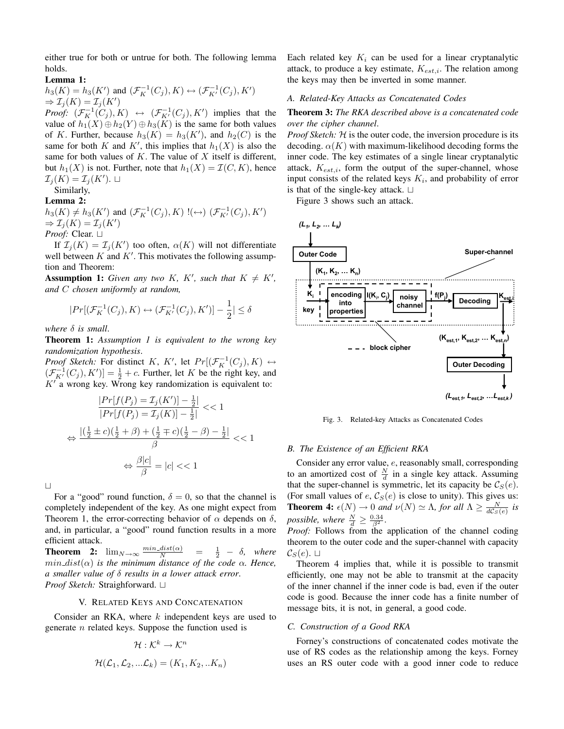either true for both or untrue for both. The following lemma holds.

# Lemma 1:

 $h_3(K) = h_3(K')$  and  $(\mathcal{F}_K^{-1}(C_j), K) \leftrightarrow (\mathcal{F}_{K'}^{-1}(C_j), K')$  $\Rightarrow$   $\mathcal{I}_j(K) = \mathcal{I}_j(K')$ *Proof:*  $(\mathcal{F}_K^{-1}(C_j), K) \leftrightarrow (\mathcal{F}_{K'}^{-1}(C_j), K')$  implies that the

value of  $h_1(X) \oplus h_2(Y) \oplus h_3(K)$  is the same for both values of K. Further, because  $h_3(K) = h_3(K')$ , and  $h_2(C)$  is the same for both K and K', this implies that  $h_1(X)$  is also the same for both values of  $K$ . The value of  $X$  itself is different, but  $h_1(X)$  is not. Further, note that  $h_1(X) = \mathcal{I}(C, K)$ , hence  $\mathcal{I}_j(K) = \mathcal{I}_j(K')$ .  $\Box$ 

Similarly,

# Lemma 2:

 $h_3(K) \neq h_3(K')$  and  $(\mathcal{F}_K^{-1}(C_j), K)$   $!(\leftrightarrow)$   $(\mathcal{F}_{K'}^{-1}(C_j), K')$  $\Rightarrow$   $\mathcal{I}_j(K) = \mathcal{I}_j(K')$ *Proof:* Clear. ⊔

If  $\mathcal{I}_j(K) = \mathcal{I}_j(K')$  too often,  $\alpha(K)$  will not differentiate well between  $K$  and  $K'$ . This motivates the following assumption and Theorem:

**Assumption 1:** Given any two K, K', such that  $K \neq K'$ , *and* C *chosen uniformly at random,*

$$
|Pr[(\mathcal{F}_K^{-1}(C_j), K) \leftrightarrow (\mathcal{F}_{K'}^{-1}(C_j), K')] - \frac{1}{2}| \le \delta
$$

*where* δ *is small*.

Theorem 1: *Assumption 1 is equivalent to the wrong key randomization hypothesis*.

*Proof Sketch:* For distinct K, K', let  $Pr[(\mathcal{F}_K^{-1}(C_j), K) \leftrightarrow$  $(\mathcal{F}_{K'}^{-1}(C_j), K')$  =  $\frac{1}{2}$  + c. Further, let K be the right key, and  $K'$  a wrong key. Wrong key randomization is equivalent to:

$$
\frac{|Pr[f(P_j) = \mathcal{I}_j(K')] - \frac{1}{2}|}{|Pr[f(P_j) = \mathcal{I}_j(K)] - \frac{1}{2}|} << 1
$$
\n
$$
\Leftrightarrow \frac{|(\frac{1}{2} \pm c)(\frac{1}{2} + \beta) + (\frac{1}{2} \mp c)(\frac{1}{2} - \beta) - \frac{1}{2}|}{\beta} << 1
$$
\n
$$
\Leftrightarrow \frac{\beta|c|}{\beta} = |c| << 1
$$

 $\Box$ 

For a "good" round function,  $\delta = 0$ , so that the channel is completely independent of the key. As one might expect from Theorem 1, the error-correcting behavior of  $\alpha$  depends on  $\delta$ , and, in particular, a "good" round function results in a more efficient attack.

**Theorem 2:**  $\lim_{N\to\infty} \frac{\min\_dist(\alpha)}{N} = \frac{1}{2} - \delta$ , where  $min\_dist(\alpha)$  *is the minimum distance of the code*  $\alpha$ *. Hence, a smaller value of* δ *results in a lower attack error*. *Proof Sketch:* Straighforward. □

# V. RELATED KEYS AND CONCATENATION

Consider an RKA, where  $k$  independent keys are used to generate  $n$  related keys. Suppose the function used is

$$
\mathcal{H}: \mathcal{K}^k \to \mathcal{K}^n
$$

$$
\mathcal{H}(\mathcal{L}_1, \mathcal{L}_2, ... \mathcal{L}_k) = (K_1, K_2, ... K_n)
$$

Each related key  $K_i$  can be used for a linear cryptanalytic attack, to produce a key estimate,  $K_{est,i}$ . The relation among the keys may then be inverted in some manner.

# *A. Related-Key Attacks as Concatenated Codes*

# Theorem 3: *The RKA described above is a concatenated code over the cipher channel*.

*Proof Sketch:* H is the outer code, the inversion procedure is its decoding.  $\alpha(K)$  with maximum-likelihood decoding forms the inner code. The key estimates of a single linear cryptanalytic attack,  $K_{est,i}$ , form the output of the super-channel, whose input consists of the related keys  $K_i$ , and probability of error is that of the single-key attack.  $\Box$ 

Figure 3 shows such an attack.



Fig. 3. Related-key Attacks as Concatenated Codes

# *B. The Existence of an Efficient RKA*

Consider any error value, e, reasonably small, corresponding to an amortized cost of  $\frac{N}{d}$  in a single key attack. Assuming that the super-channel is symmetric, let its capacity be  $\mathcal{C}_S(e)$ . (For small values of  $e$ ,  $\mathcal{C}_S(e)$  is close to unity). This gives us: **Theorem 4:**  $\epsilon(N) \to 0$  *and*  $\nu(N) \simeq \Lambda$ , *for all*  $\Lambda \ge \frac{N}{dC_S(e)}$  *is possible, where*  $\frac{N}{d} \geq \frac{0.34}{\beta^2}$ .

*Proof:* Follows from the application of the channel coding theorem to the outer code and the super-channel with capacity  $\mathcal{C}_S(e)$ .  $\Box$ 

Theorem 4 implies that, while it is possible to transmit efficiently, one may not be able to transmit at the capacity of the inner channel if the inner code is bad, even if the outer code is good. Because the inner code has a finite number of message bits, it is not, in general, a good code.

# *C. Construction of a Good RKA*

Forney's constructions of concatenated codes motivate the use of RS codes as the relationship among the keys. Forney uses an RS outer code with a good inner code to reduce